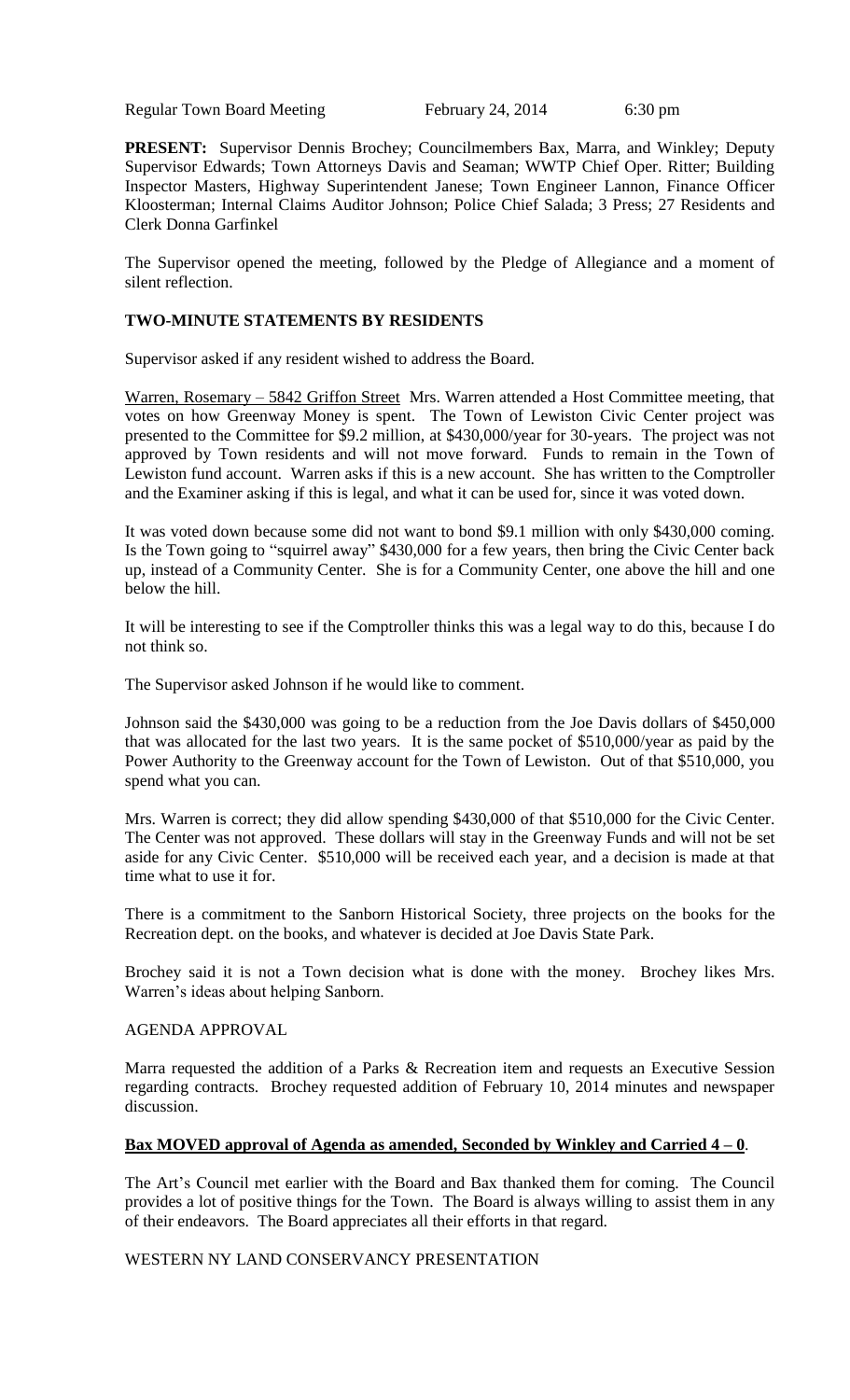Regular Town Board Meeting February 24, 2014 6:30 pm

**PRESENT:** Supervisor Dennis Brochey; Councilmembers Bax, Marra, and Winkley; Deputy Supervisor Edwards; Town Attorneys Davis and Seaman; WWTP Chief Oper. Ritter; Building Inspector Masters, Highway Superintendent Janese; Town Engineer Lannon, Finance Officer Kloosterman; Internal Claims Auditor Johnson; Police Chief Salada; 3 Press; 27 Residents and Clerk Donna Garfinkel

The Supervisor opened the meeting, followed by the Pledge of Allegiance and a moment of silent reflection.

# **TWO-MINUTE STATEMENTS BY RESIDENTS**

Supervisor asked if any resident wished to address the Board.

Warren, Rosemary – 5842 Griffon Street Mrs. Warren attended a Host Committee meeting, that votes on how Greenway Money is spent. The Town of Lewiston Civic Center project was presented to the Committee for \$9.2 million, at \$430,000/year for 30-years. The project was not approved by Town residents and will not move forward. Funds to remain in the Town of Lewiston fund account. Warren asks if this is a new account. She has written to the Comptroller and the Examiner asking if this is legal, and what it can be used for, since it was voted down.

It was voted down because some did not want to bond \$9.1 million with only \$430,000 coming. Is the Town going to "squirrel away" \$430,000 for a few years, then bring the Civic Center back up, instead of a Community Center. She is for a Community Center, one above the hill and one below the hill.

It will be interesting to see if the Comptroller thinks this was a legal way to do this, because I do not think so.

The Supervisor asked Johnson if he would like to comment.

Johnson said the \$430,000 was going to be a reduction from the Joe Davis dollars of \$450,000 that was allocated for the last two years. It is the same pocket of \$510,000/year as paid by the Power Authority to the Greenway account for the Town of Lewiston. Out of that \$510,000, you spend what you can.

Mrs. Warren is correct; they did allow spending \$430,000 of that \$510,000 for the Civic Center. The Center was not approved. These dollars will stay in the Greenway Funds and will not be set aside for any Civic Center. \$510,000 will be received each year, and a decision is made at that time what to use it for.

There is a commitment to the Sanborn Historical Society, three projects on the books for the Recreation dept. on the books, and whatever is decided at Joe Davis State Park.

Brochey said it is not a Town decision what is done with the money. Brochey likes Mrs. Warren's ideas about helping Sanborn.

#### AGENDA APPROVAL

Marra requested the addition of a Parks & Recreation item and requests an Executive Session regarding contracts. Brochey requested addition of February 10, 2014 minutes and newspaper discussion.

## **Bax MOVED approval of Agenda as amended, Seconded by Winkley and Carried 4 – 0**.

The Art's Council met earlier with the Board and Bax thanked them for coming. The Council provides a lot of positive things for the Town. The Board is always willing to assist them in any of their endeavors. The Board appreciates all their efforts in that regard.

WESTERN NY LAND CONSERVANCY PRESENTATION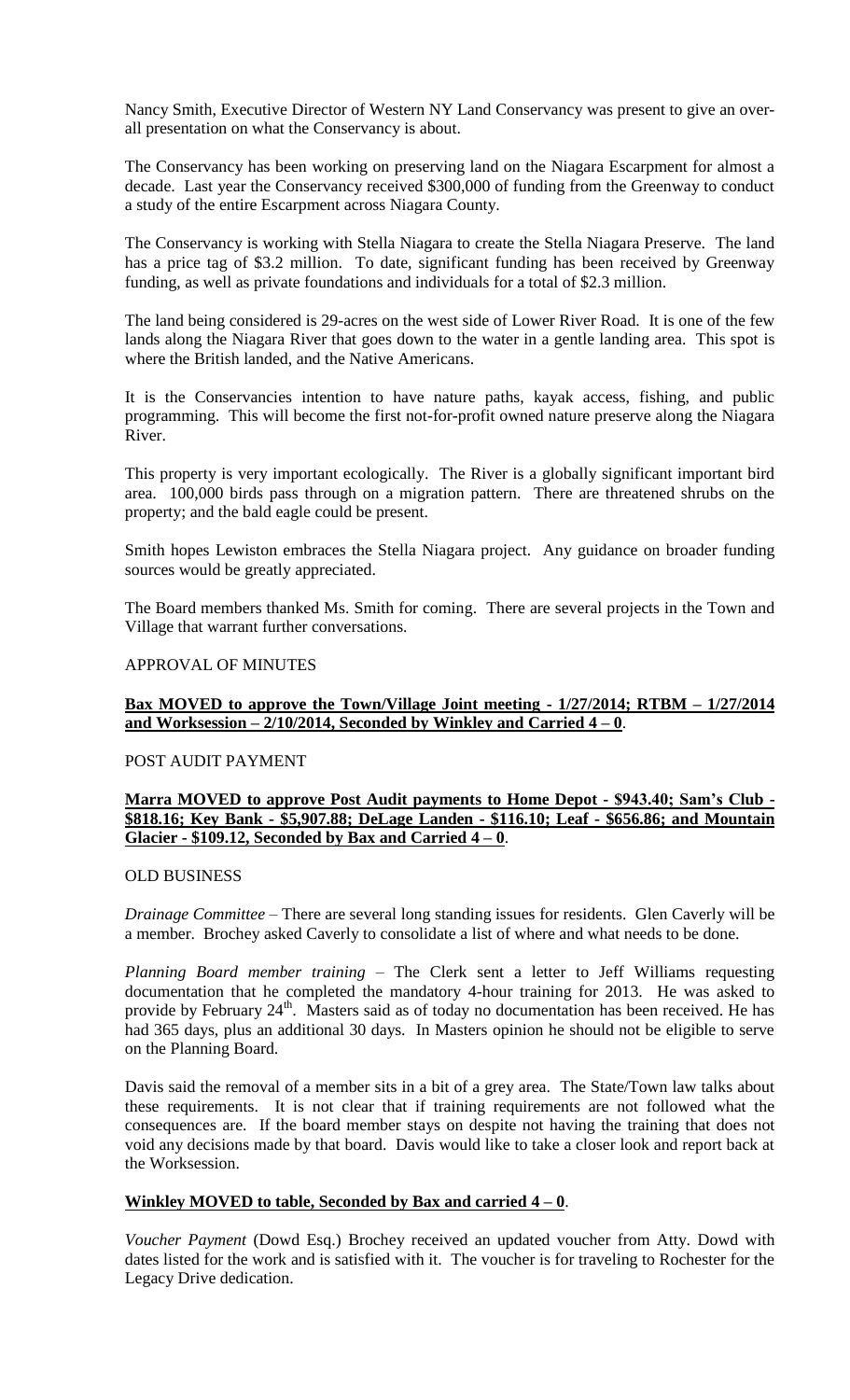Nancy Smith, Executive Director of Western NY Land Conservancy was present to give an overall presentation on what the Conservancy is about.

The Conservancy has been working on preserving land on the Niagara Escarpment for almost a decade. Last year the Conservancy received \$300,000 of funding from the Greenway to conduct a study of the entire Escarpment across Niagara County.

The Conservancy is working with Stella Niagara to create the Stella Niagara Preserve. The land has a price tag of \$3.2 million. To date, significant funding has been received by Greenway funding, as well as private foundations and individuals for a total of \$2.3 million.

The land being considered is 29-acres on the west side of Lower River Road. It is one of the few lands along the Niagara River that goes down to the water in a gentle landing area. This spot is where the British landed, and the Native Americans.

It is the Conservancies intention to have nature paths, kayak access, fishing, and public programming. This will become the first not-for-profit owned nature preserve along the Niagara River.

This property is very important ecologically. The River is a globally significant important bird area. 100,000 birds pass through on a migration pattern. There are threatened shrubs on the property; and the bald eagle could be present.

Smith hopes Lewiston embraces the Stella Niagara project. Any guidance on broader funding sources would be greatly appreciated.

The Board members thanked Ms. Smith for coming. There are several projects in the Town and Village that warrant further conversations.

#### APPROVAL OF MINUTES

### **Bax MOVED to approve the Town/Village Joint meeting - 1/27/2014; RTBM – 1/27/2014 and Worksession – 2/10/2014, Seconded by Winkley and Carried 4 – 0**.

### POST AUDIT PAYMENT

### **Marra MOVED to approve Post Audit payments to Home Depot - \$943.40; Sam's Club - \$818.16; Key Bank - \$5,907.88; DeLage Landen - \$116.10; Leaf - \$656.86; and Mountain Glacier**  $\cdot$  \$109.12, Seconded by Bax and Carried  $4 - 0$ .

### OLD BUSINESS

*Drainage Committee* – There are several long standing issues for residents. Glen Caverly will be a member. Brochey asked Caverly to consolidate a list of where and what needs to be done.

*Planning Board member training* – The Clerk sent a letter to Jeff Williams requesting documentation that he completed the mandatory 4-hour training for 2013. He was asked to provide by February  $24<sup>th</sup>$ . Masters said as of today no documentation has been received. He has had 365 days, plus an additional 30 days. In Masters opinion he should not be eligible to serve on the Planning Board.

Davis said the removal of a member sits in a bit of a grey area. The State/Town law talks about these requirements. It is not clear that if training requirements are not followed what the consequences are. If the board member stays on despite not having the training that does not void any decisions made by that board. Davis would like to take a closer look and report back at the Worksession.

### **Winkley MOVED to table, Seconded by Bax and carried**  $4 - 0$ **.**

*Voucher Payment* (Dowd Esq.) Brochey received an updated voucher from Atty. Dowd with dates listed for the work and is satisfied with it. The voucher is for traveling to Rochester for the Legacy Drive dedication.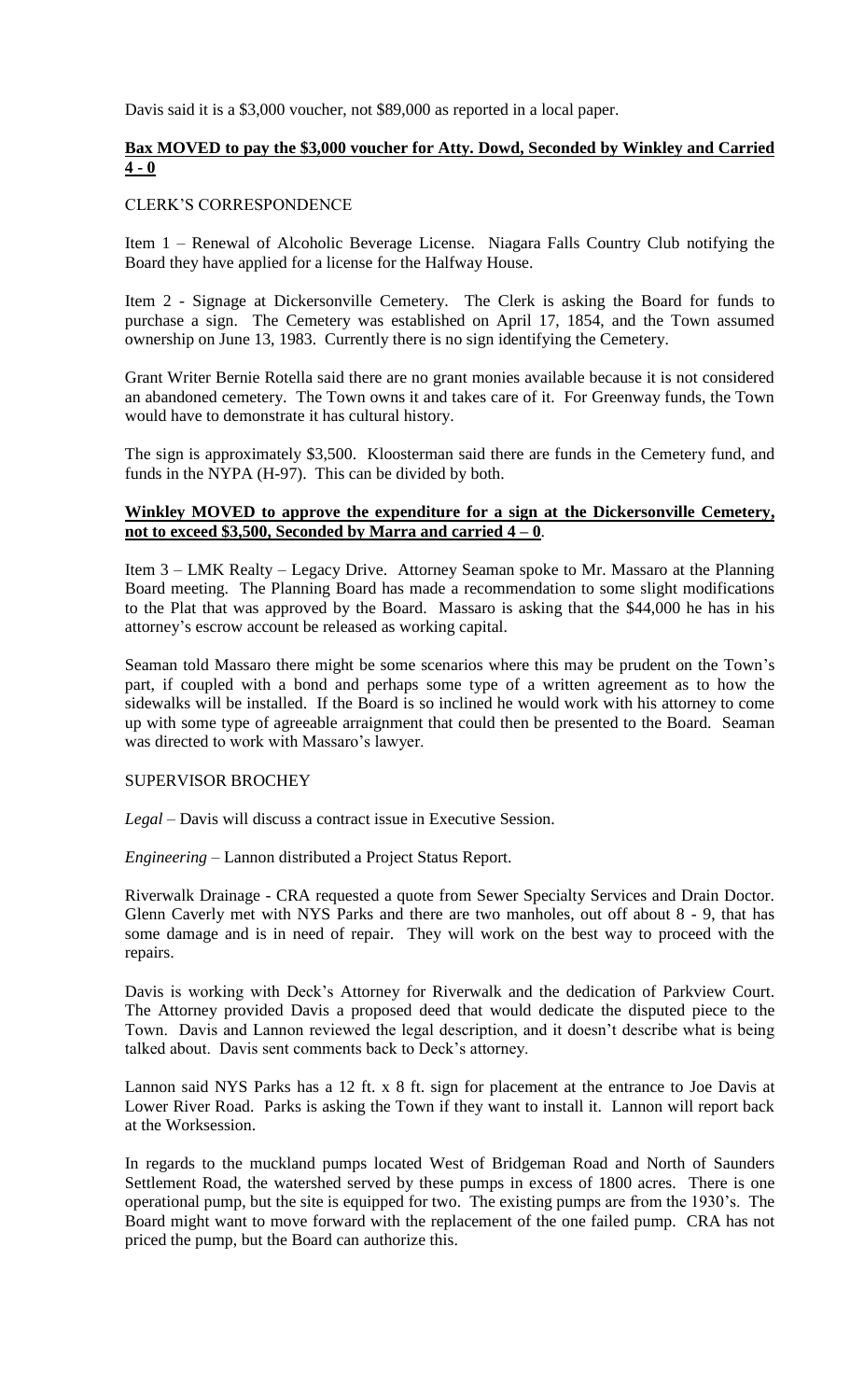Davis said it is a \$3,000 voucher, not \$89,000 as reported in a local paper.

## **Bax MOVED to pay the \$3,000 voucher for Atty. Dowd, Seconded by Winkley and Carried 4 - 0**

### CLERK'S CORRESPONDENCE

Item 1 – Renewal of Alcoholic Beverage License. Niagara Falls Country Club notifying the Board they have applied for a license for the Halfway House.

Item 2 - Signage at Dickersonville Cemetery. The Clerk is asking the Board for funds to purchase a sign. The Cemetery was established on April 17, 1854, and the Town assumed ownership on June 13, 1983. Currently there is no sign identifying the Cemetery.

Grant Writer Bernie Rotella said there are no grant monies available because it is not considered an abandoned cemetery. The Town owns it and takes care of it. For Greenway funds, the Town would have to demonstrate it has cultural history.

The sign is approximately \$3,500. Kloosterman said there are funds in the Cemetery fund, and funds in the NYPA (H-97). This can be divided by both.

### **Winkley MOVED to approve the expenditure for a sign at the Dickersonville Cemetery, not to exceed \$3,500, Seconded by Marra and carried 4 – 0**.

Item 3 – LMK Realty – Legacy Drive. Attorney Seaman spoke to Mr. Massaro at the Planning Board meeting. The Planning Board has made a recommendation to some slight modifications to the Plat that was approved by the Board. Massaro is asking that the \$44,000 he has in his attorney's escrow account be released as working capital.

Seaman told Massaro there might be some scenarios where this may be prudent on the Town's part, if coupled with a bond and perhaps some type of a written agreement as to how the sidewalks will be installed. If the Board is so inclined he would work with his attorney to come up with some type of agreeable arraignment that could then be presented to the Board. Seaman was directed to work with Massaro's lawyer.

### SUPERVISOR BROCHEY

*Legal* – Davis will discuss a contract issue in Executive Session.

*Engineering* – Lannon distributed a Project Status Report.

Riverwalk Drainage - CRA requested a quote from Sewer Specialty Services and Drain Doctor. Glenn Caverly met with NYS Parks and there are two manholes, out off about 8 - 9, that has some damage and is in need of repair. They will work on the best way to proceed with the repairs.

Davis is working with Deck's Attorney for Riverwalk and the dedication of Parkview Court. The Attorney provided Davis a proposed deed that would dedicate the disputed piece to the Town. Davis and Lannon reviewed the legal description, and it doesn't describe what is being talked about. Davis sent comments back to Deck's attorney.

Lannon said NYS Parks has a 12 ft. x 8 ft. sign for placement at the entrance to Joe Davis at Lower River Road. Parks is asking the Town if they want to install it. Lannon will report back at the Worksession.

In regards to the muckland pumps located West of Bridgeman Road and North of Saunders Settlement Road, the watershed served by these pumps in excess of 1800 acres. There is one operational pump, but the site is equipped for two. The existing pumps are from the 1930's. The Board might want to move forward with the replacement of the one failed pump. CRA has not priced the pump, but the Board can authorize this.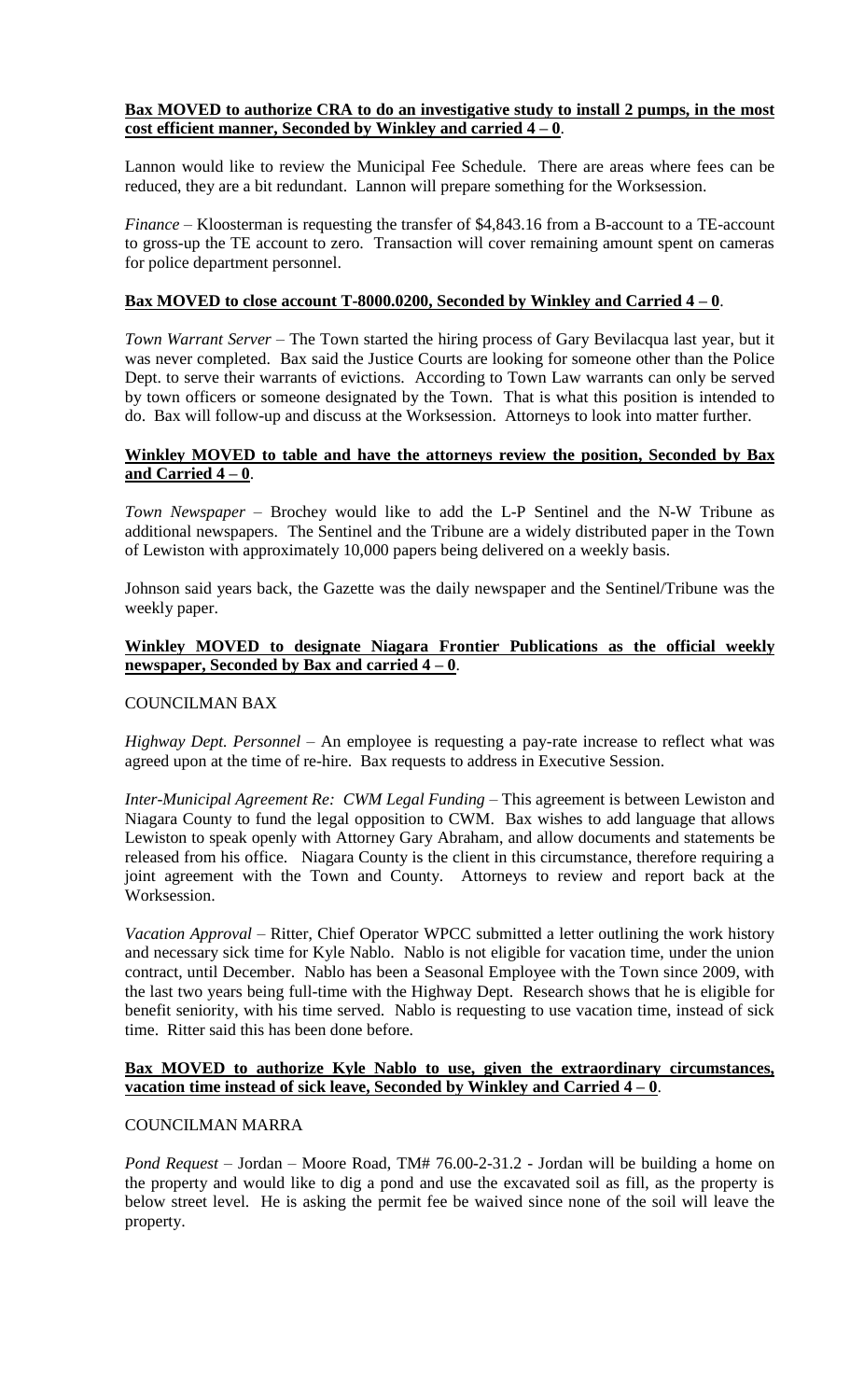## **Bax MOVED to authorize CRA to do an investigative study to install 2 pumps, in the most cost efficient manner, Seconded by Winkley and carried 4 – 0**.

Lannon would like to review the Municipal Fee Schedule. There are areas where fees can be reduced, they are a bit redundant. Lannon will prepare something for the Worksession.

*Finance* – Kloosterman is requesting the transfer of \$4,843.16 from a B-account to a TE-account to gross-up the TE account to zero. Transaction will cover remaining amount spent on cameras for police department personnel.

### **Bax MOVED to close account T-8000.0200, Seconded by Winkley and Carried 4 – 0**.

*Town Warrant Server* – The Town started the hiring process of Gary Bevilacqua last year, but it was never completed. Bax said the Justice Courts are looking for someone other than the Police Dept. to serve their warrants of evictions. According to Town Law warrants can only be served by town officers or someone designated by the Town. That is what this position is intended to do. Bax will follow-up and discuss at the Worksession. Attorneys to look into matter further.

## **Winkley MOVED to table and have the attorneys review the position, Seconded by Bax and Carried 4 – 0**.

*Town Newspaper* – Brochey would like to add the L-P Sentinel and the N-W Tribune as additional newspapers. The Sentinel and the Tribune are a widely distributed paper in the Town of Lewiston with approximately 10,000 papers being delivered on a weekly basis.

Johnson said years back, the Gazette was the daily newspaper and the Sentinel/Tribune was the weekly paper.

### **Winkley MOVED to designate Niagara Frontier Publications as the official weekly <u>newspaper, Seconded by Bax and carried**  $4 - 0$ **</u>.**

### COUNCILMAN BAX

*Highway Dept. Personnel* – An employee is requesting a pay-rate increase to reflect what was agreed upon at the time of re-hire. Bax requests to address in Executive Session.

*Inter-Municipal Agreement Re: CWM Legal Funding* – This agreement is between Lewiston and Niagara County to fund the legal opposition to CWM. Bax wishes to add language that allows Lewiston to speak openly with Attorney Gary Abraham, and allow documents and statements be released from his office. Niagara County is the client in this circumstance, therefore requiring a joint agreement with the Town and County. Attorneys to review and report back at the Worksession.

*Vacation Approval* – Ritter, Chief Operator WPCC submitted a letter outlining the work history and necessary sick time for Kyle Nablo. Nablo is not eligible for vacation time, under the union contract, until December. Nablo has been a Seasonal Employee with the Town since 2009, with the last two years being full-time with the Highway Dept. Research shows that he is eligible for benefit seniority, with his time served. Nablo is requesting to use vacation time, instead of sick time. Ritter said this has been done before.

#### **Bax MOVED to authorize Kyle Nablo to use, given the extraordinary circumstances, vacation time instead of sick leave, Seconded by Winkley and Carried 4 – 0**.

### COUNCILMAN MARRA

*Pond Request* – Jordan – Moore Road, TM# 76.00-2-31.2 - Jordan will be building a home on the property and would like to dig a pond and use the excavated soil as fill, as the property is below street level. He is asking the permit fee be waived since none of the soil will leave the property.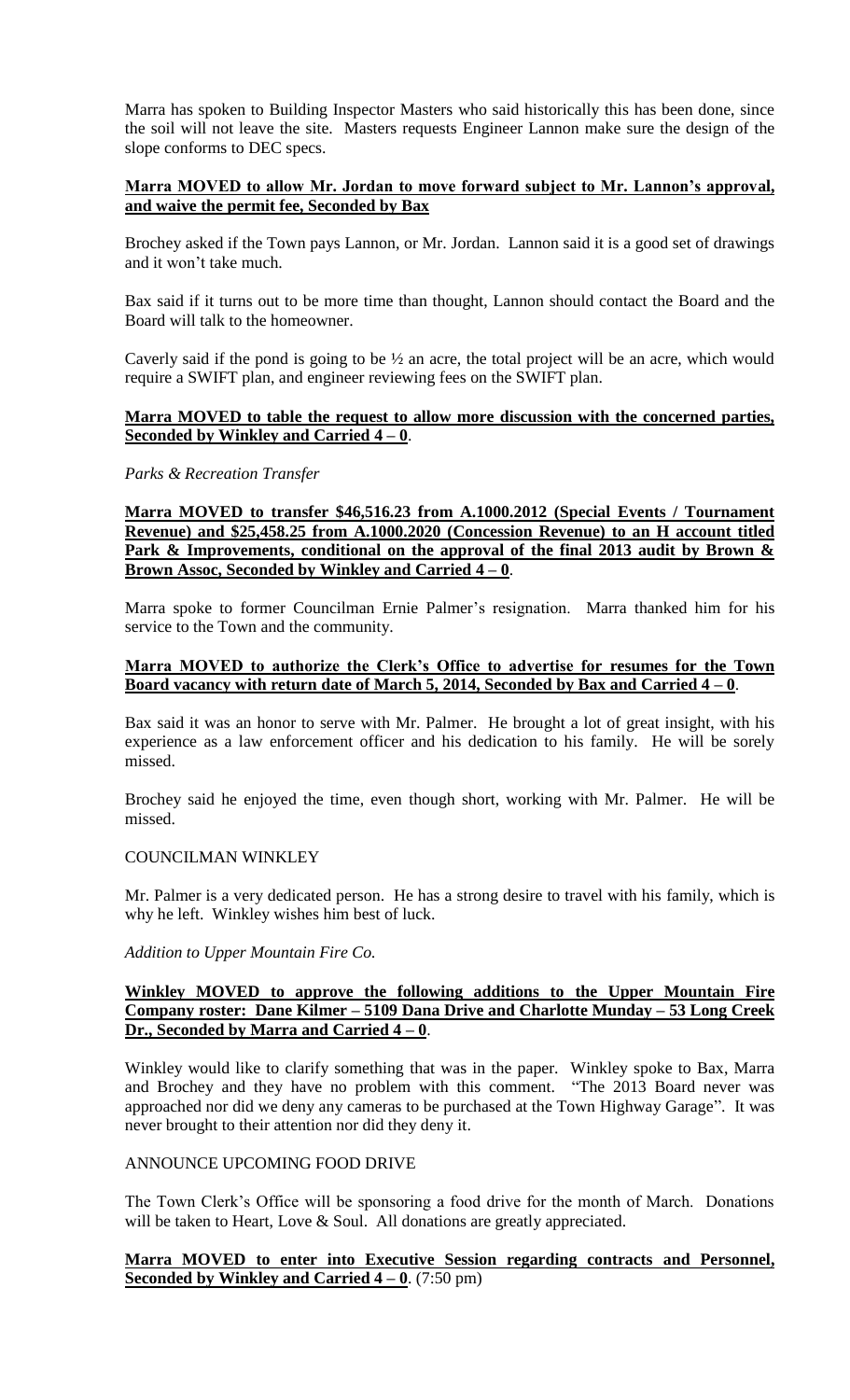Marra has spoken to Building Inspector Masters who said historically this has been done, since the soil will not leave the site. Masters requests Engineer Lannon make sure the design of the slope conforms to DEC specs.

### **Marra MOVED to allow Mr. Jordan to move forward subject to Mr. Lannon's approval, and waive the permit fee, Seconded by Bax**

Brochey asked if the Town pays Lannon, or Mr. Jordan. Lannon said it is a good set of drawings and it won't take much.

Bax said if it turns out to be more time than thought, Lannon should contact the Board and the Board will talk to the homeowner.

Caverly said if the pond is going to be  $\frac{1}{2}$  an acre, the total project will be an acre, which would require a SWIFT plan, and engineer reviewing fees on the SWIFT plan.

#### **Marra MOVED to table the request to allow more discussion with the concerned parties, Seconded by Winkley and Carried 4 – 0**.

#### *Parks & Recreation Transfer*

**Marra MOVED to transfer \$46,516.23 from A.1000.2012 (Special Events / Tournament Revenue) and \$25,458.25 from A.1000.2020 (Concession Revenue) to an H account titled**  Park & Improvements, conditional on the approval of the final 2013 audit by Brown & **Brown Assoc, Seconded by Winkley and Carried 4 – 0**.

Marra spoke to former Councilman Ernie Palmer's resignation. Marra thanked him for his service to the Town and the community.

#### **Marra MOVED to authorize the Clerk's Office to advertise for resumes for the Town Board vacancy with return date of March 5, 2014, Seconded by Bax and Carried 4 – 0**.

Bax said it was an honor to serve with Mr. Palmer. He brought a lot of great insight, with his experience as a law enforcement officer and his dedication to his family. He will be sorely missed.

Brochey said he enjoyed the time, even though short, working with Mr. Palmer. He will be missed.

#### COUNCILMAN WINKLEY

Mr. Palmer is a very dedicated person. He has a strong desire to travel with his family, which is why he left. Winkley wishes him best of luck.

*Addition to Upper Mountain Fire Co.*

## **Winkley MOVED to approve the following additions to the Upper Mountain Fire Company roster: Dane Kilmer – 5109 Dana Drive and Charlotte Munday – 53 Long Creek Dr., Seconded by Marra and Carried 4 – 0**.

Winkley would like to clarify something that was in the paper. Winkley spoke to Bax, Marra and Brochey and they have no problem with this comment. "The 2013 Board never was approached nor did we deny any cameras to be purchased at the Town Highway Garage". It was never brought to their attention nor did they deny it.

### ANNOUNCE UPCOMING FOOD DRIVE

The Town Clerk's Office will be sponsoring a food drive for the month of March. Donations will be taken to Heart, Love & Soul. All donations are greatly appreciated.

### **Marra MOVED to enter into Executive Session regarding contracts and Personnel, <u>Seconded by Winkley and Carried**  $4 - 0$ **</u>. (7:50 pm)**